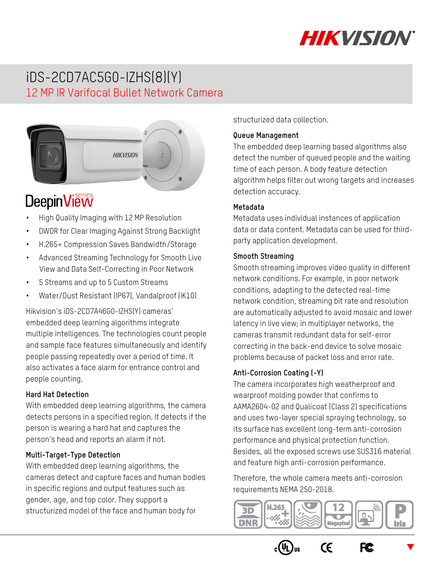

## iDS-2CD7AC5G0-IZHS(8)(Y) 12 MP IR Varifocal Bullet Network Camera



# **DeepinView**

- High Quality Imaging with 12 MP Resolution
- DWDR for Clear Imaging Against Strong Backlight
- H.265+ Compression Saves Bandwidth/Storage
- Advanced Streaming Technology for Smooth Live View and Data Self-Correcting in Poor Network
- 5 Streams and up to 5 Custom Streams
- Water/Dust Resistant (IP67), Vandalproof (IK10)

Hikvision's iDS-2CD7A46G0-IZHS(Y) cameras' embedded deep learning algorithms integrate multiple intelligences. The technologies count people and sample face features simultaneously and identify people passing repeatedly over a period of time. It also activates a face alarm for entrance control and people counting.

#### **Hard Hat Detection**

With embedded deep learning algorithms, the camera detects persons in a specified region. It detects if the person is wearing a hard hat and captures the person's head and reports an alarm if not.

#### **Multi-Target-Type Detection**

With embedded deep learning algorithms, the cameras detect and capture faces and human bodies in specific regions and output features such as gender, age, and top color. They support a structurized model of the face and human body for

structurized data collection.

#### **Queue Management**

The embedded deep learning based algorithms also detect the number of queued people and the waiting time of each person. A body feature detection algorithm helps filter out wrong targets and increases detection accuracy.

#### **Metadata**

Metadata uses individual instances of application data or data content. Metadata can be used for thirdparty application development.

#### **Smooth Streaming**

Smooth streaming improves video quality in different network conditions. For example, in poor network conditions, adapting to the detected real-time network condition, streaming bit rate and resolution are automatically adjusted to avoid mosaic and lower latency in live view; in multiplayer networks, the cameras transmit redundant data for self-error correcting in the back-end device to solve mosaic problems because of packet loss and error rate.

#### **Anti-Corrosion Coating (-Y)**

The camera incorporates high weatherproof and wearproof molding powder that confirms to AAMA2604-02 and Qualicoat (Class 2) specifications and uses two-layer special spraying technology, so its surface has excellent long-term anti-corrosion performance and physical protection function. Besides, all the exposed screws use SUS316 material and feature high anti-corrosion performance.

Therefore, the whole camera meets anti-corrosion requirements NEMA 250-2018.



 $C\epsilon$ 

F<sub>C</sub>

 $\blacktriangledown$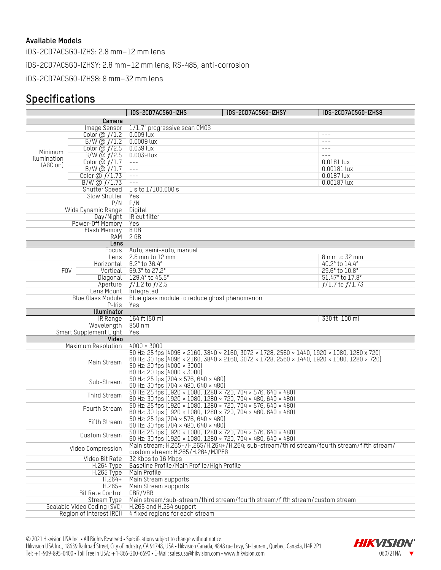#### **Available Models**

iDS-2CD7AC5G0-IZHS: 2.8 mm–12 mm lens iDS-2CD7AC5G0-IZHSY: 2.8 mm–12 mm lens, RS-485, anti-corrosion

iDS-2CD7AC5G0-IZHS8: 8 mm–32 mm lens

### **Specifications**

|                             |                                         | iDS-2CD7AC5G0-IZHS                                                                                                                                        | iDS-2CD7AC5G0-IZHSY | iDS-2CD7AC5G0-IZHS8 |  |
|-----------------------------|-----------------------------------------|-----------------------------------------------------------------------------------------------------------------------------------------------------------|---------------------|---------------------|--|
|                             | Camera                                  |                                                                                                                                                           |                     |                     |  |
|                             | Image Sensor                            | 1/1.7" progressive scan CMOS                                                                                                                              |                     |                     |  |
|                             | Color $\omega f/1.2$                    | $0.009$ lux                                                                                                                                               |                     | $- - -$             |  |
|                             | $B/W$ @ $f/1.2$                         | $0.0009$ lux                                                                                                                                              |                     | $---$               |  |
|                             | Color $\ddot{\omega}$ $f/2.5$           | 0.039 lux                                                                                                                                                 |                     | $  -$               |  |
| Minimum                     | $B/W$ @ $f/2.5$                         | 0.0039 lux                                                                                                                                                |                     | $- - -$             |  |
| Illumination                | Color $\omega f/1.7$                    | $  -$                                                                                                                                                     |                     | 0.0181 lux          |  |
| (AGC on)                    | $B/W$ @ $f/1.7$                         | $---$                                                                                                                                                     |                     | 0.00181 lux         |  |
|                             | Color $\omega f/1.73$                   | $  -$                                                                                                                                                     |                     | 0.0187 lux          |  |
|                             | $B/W$ @ $f/1.73$                        | $---$                                                                                                                                                     |                     | 0.00187 lux         |  |
|                             | Shutter Speed                           | lsto 1/100,000 s                                                                                                                                          |                     |                     |  |
|                             | Slow Shutter                            | Yes                                                                                                                                                       |                     |                     |  |
|                             | P/N                                     | P/N                                                                                                                                                       |                     |                     |  |
|                             | Wide Dynamic Range                      | Digital                                                                                                                                                   |                     |                     |  |
|                             |                                         |                                                                                                                                                           |                     |                     |  |
|                             | Day/Night                               | IR cut filter<br>Yes                                                                                                                                      |                     |                     |  |
|                             | Power-Off Memory<br><b>Flash Memory</b> | 8 GB                                                                                                                                                      |                     |                     |  |
|                             | RAM                                     |                                                                                                                                                           |                     |                     |  |
|                             |                                         | $2$ GB                                                                                                                                                    |                     |                     |  |
|                             | Lens<br>Focus                           |                                                                                                                                                           |                     |                     |  |
|                             | Lens                                    | Auto, semi-auto, manual<br>2.8 mm to 12 mm                                                                                                                |                     | 8 mm to 32 mm       |  |
|                             |                                         | 6.2° to 36.4°                                                                                                                                             |                     | 40.2° to 14.4°      |  |
| <b>FOV</b>                  | Horizontal                              | 69.3° to 27.2°                                                                                                                                            |                     | 29.6° to 10.8°      |  |
|                             | Vertical                                | 129.4° to 45.5°                                                                                                                                           |                     | 51.47° to 17.8°     |  |
|                             | Diagonal                                |                                                                                                                                                           |                     |                     |  |
|                             | Aperture                                | $f/1.2$ to $f/2.5$                                                                                                                                        |                     | $f/1.7$ to $f/1.73$ |  |
|                             | Lens Mount                              | Integrated                                                                                                                                                |                     |                     |  |
|                             | Blue Glass Module                       | Blue glass module to reduce ghost phenomenon                                                                                                              |                     |                     |  |
|                             | P-Iris                                  | Yes                                                                                                                                                       |                     |                     |  |
|                             | Illuminator                             |                                                                                                                                                           |                     |                     |  |
|                             | IR Range                                | $164$ ft $(50 \text{ m})$                                                                                                                                 |                     | 330 ft (100 m)      |  |
| Wavelength                  |                                         | 850 nm                                                                                                                                                    |                     |                     |  |
|                             | Smart Supplement Light                  | Yes                                                                                                                                                       |                     |                     |  |
|                             | Video                                   |                                                                                                                                                           |                     |                     |  |
|                             | Maximum Resolution                      | $4000 \times 3000$<br>50 Hz: 25 fps (4096 × 2160, 3840 × 2160, 3072 × 1728, 2560 × 1440, 1920 × 1080, 1280 × 720)                                         |                     |                     |  |
| Main Stream                 |                                         | 60 Hz: 30 fps (4096 × 2160, 3840 × 2160, 3072 × 1728, 2560 × 1440, 1920 × 1080, 1280 × 720)<br>50 Hz: 20 fps (4000 × 3000)<br>60 Hz: 20 fps (4000 × 3000) |                     |                     |  |
| Sub-Stream                  |                                         | 50 Hz: 25 fps (704 × 576, 640 × 480)                                                                                                                      |                     |                     |  |
|                             |                                         | 60 Hz: 30 fps (704 × 480, 640 × 480)                                                                                                                      |                     |                     |  |
| Third Stream                |                                         | 50 Hz: 25 fps (1920 × 1080, 1280 × 720, 704 × 576, 640 × 480)<br>60 Hz: 30 fps (1920 × 1080, 1280 × 720, 704 × 480, 640 × 480)                            |                     |                     |  |
|                             | Fourth Stream                           | 50 Hz: 25 fps (1920 × 1080, 1280 × 720, 704 × 576, 640 × 480)<br>60 Hz: 30 fps (1920 × 1080, 1280 × 720, 704 × 480, 640 × 480)                            |                     |                     |  |
| Fifth Stream                |                                         | 50 Hz: 25 fps (704 × 576, 640 × 480)<br>60 Hz: 30 fps (704 × 480, 640 × 480)                                                                              |                     |                     |  |
| Custom Stream               |                                         | 50 Hz: 25 fps (1920 × 1080, 1280 × 720, 704 × 576, 640 × 480)<br>60 Hz: 30 fps (1920 × 1080, 1280 × 720, 704 × 480, 640 × 480)                            |                     |                     |  |
|                             | Video Compression                       | Main stream: H.265+/H.265/H.264+/H.264; sub-stream/third stream/fourth stream/fifth stream/<br>custom stream: H.265/H.264/MJPEG                           |                     |                     |  |
|                             | Video Bit Rate                          | 32 Kbps to 16 Mbps                                                                                                                                        |                     |                     |  |
|                             | H.264 Type                              | Baseline Profile/Main Profile/High Profile                                                                                                                |                     |                     |  |
|                             | <b>H.265 Type</b>                       | Main Profile                                                                                                                                              |                     |                     |  |
| $H.264+$                    |                                         | Main Stream supports                                                                                                                                      |                     |                     |  |
| $H.265+$                    |                                         | Main Stream supports                                                                                                                                      |                     |                     |  |
| <b>Bit Rate Control</b>     |                                         | CBR/VBR                                                                                                                                                   |                     |                     |  |
| <b>Stream Type</b>          |                                         | Main stream/sub-stream/third stream/fourth stream/fifth stream/custom stream                                                                              |                     |                     |  |
| Scalable Video Coding (SVC) |                                         | H.265 and H.264 support                                                                                                                                   |                     |                     |  |
|                             | Region of Interest (ROI)                | 4 fixed regions for each stream                                                                                                                           |                     |                     |  |
|                             |                                         |                                                                                                                                                           |                     |                     |  |

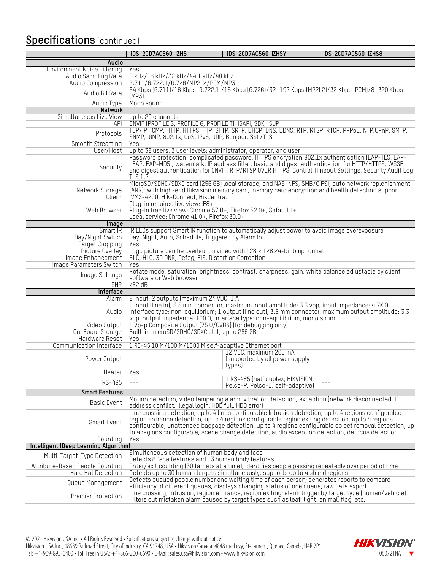### **Specifications** (continued)

|                                       | iDS-2CD7AC5G0-IZHS                                                                                                                                | iDS-2CD7AC5G0-IZHSY                                                                                                                                                                                                                                                                                           | iDS-2CD7AC5G0-IZHS8                                                                                     |
|---------------------------------------|---------------------------------------------------------------------------------------------------------------------------------------------------|---------------------------------------------------------------------------------------------------------------------------------------------------------------------------------------------------------------------------------------------------------------------------------------------------------------|---------------------------------------------------------------------------------------------------------|
| Audio                                 |                                                                                                                                                   |                                                                                                                                                                                                                                                                                                               |                                                                                                         |
| <b>Environment Noise Filtering</b>    | Yes                                                                                                                                               |                                                                                                                                                                                                                                                                                                               |                                                                                                         |
| Audio Sampling Rate                   | 8 kHz/16 kHz/32 kHz/44.1 kHz/48 kHz                                                                                                               |                                                                                                                                                                                                                                                                                                               |                                                                                                         |
| Audio Compression                     | G.711/G.722.1/G.726/MP2L2/PCM/MP3                                                                                                                 |                                                                                                                                                                                                                                                                                                               |                                                                                                         |
| Audio Bit Rate                        | (MP3)                                                                                                                                             | 64 Kbps (6.711)/16 Kbps (6.722.1)/16 Kbps (6.726)/32-192 Kbps (MP2L2)/32 Kbps (PCM)/8-320 Kbps                                                                                                                                                                                                                |                                                                                                         |
| Audio Type                            | Mono sound                                                                                                                                        |                                                                                                                                                                                                                                                                                                               |                                                                                                         |
| <b>Network</b>                        |                                                                                                                                                   |                                                                                                                                                                                                                                                                                                               |                                                                                                         |
| Simultaneous Live View<br><b>API</b>  | Up to 20 channels                                                                                                                                 |                                                                                                                                                                                                                                                                                                               |                                                                                                         |
|                                       | ONVIF (PROFILE S, PROFILE G, PROFILE T), ISAPI, SDK, ISUP                                                                                         | TCP/IP, ICMP, HTTP, HTTPS, FTP, SFTP, SRTP, DHCP, DNS, DDNS, RTP, RTSP, RTCP, PPPoE, NTP, UPnP, SMTP,                                                                                                                                                                                                         |                                                                                                         |
| Protocols                             | SNMP, IGMP, 802.1x, QoS, IPv6, UDP, Bonjour, SSL/TLS                                                                                              |                                                                                                                                                                                                                                                                                                               |                                                                                                         |
| Smooth Streaming                      | Yes                                                                                                                                               |                                                                                                                                                                                                                                                                                                               |                                                                                                         |
| User/Host                             | Up to 32 users. 3 user levels: administrator, operator, and user                                                                                  |                                                                                                                                                                                                                                                                                                               |                                                                                                         |
| Security                              | <b>TLS 1.2</b>                                                                                                                                    | Password protection, complicated password, HTTPS encryption, 802.1x authentication (EAP-TLS, EAP-<br>LEAP, EAP-MD5), watermark, IP address filter, basic and digest authentication for HTTP/HTTPS, WSSE                                                                                                       | and digest authentication for ONVIF, RTP/RTSP OVER HTTPS, Control Timeout Settings, Security Audit Log, |
| Network Storage                       |                                                                                                                                                   | MicroSD/SDHC/SDXC card (256 GB) local storage, and NAS (NFS, SMB/CIFS), auto network replenishment<br>(ANR); with high-end Hikvision memory card, memory card encryption and health detection support                                                                                                         |                                                                                                         |
| Client                                | iVMS-4200, Hik-Connect, HikCentral                                                                                                                |                                                                                                                                                                                                                                                                                                               |                                                                                                         |
| Web Browser                           | Plug-in required live view: IE8+<br>Plug-in free live view: Chrome 57.0+, Firefox 52.0+, Safari 11+<br>Local service: Chrome 41.0+, Firefox 30.0+ |                                                                                                                                                                                                                                                                                                               |                                                                                                         |
| Image                                 |                                                                                                                                                   |                                                                                                                                                                                                                                                                                                               |                                                                                                         |
| Smart IR                              |                                                                                                                                                   | IR LEDs support Smart IR function to automatically adjust power to avoid image overexposure                                                                                                                                                                                                                   |                                                                                                         |
| Day/Night Switch                      | Day, Night, Auto, Schedule, Triggered by Alarm In                                                                                                 |                                                                                                                                                                                                                                                                                                               |                                                                                                         |
| <b>Target Cropping</b>                | Yes                                                                                                                                               |                                                                                                                                                                                                                                                                                                               |                                                                                                         |
| Picture Overlay                       |                                                                                                                                                   | Logo picture can be overlaid on video with $128 \times 128$ 24-bit bmp format                                                                                                                                                                                                                                 |                                                                                                         |
| Image Enhancement                     | BLC, HLC, 3D DNR, Defog, EIS, Distortion Correction                                                                                               |                                                                                                                                                                                                                                                                                                               |                                                                                                         |
| Image Parameters Switch               | Yes                                                                                                                                               |                                                                                                                                                                                                                                                                                                               |                                                                                                         |
| Image Settings                        | software or Web browser                                                                                                                           | Rotate mode, saturation, brightness, contrast, sharpness, gain, white balance adjustable by client                                                                                                                                                                                                            |                                                                                                         |
| <b>SNR</b>                            | 252 dB                                                                                                                                            |                                                                                                                                                                                                                                                                                                               |                                                                                                         |
| Interface<br>Alarm                    | 2 input, 2 outputs (maximum 24 VDC, 1 A)                                                                                                          |                                                                                                                                                                                                                                                                                                               |                                                                                                         |
|                                       |                                                                                                                                                   | 1 input (line in), 3.5 mm connector, maximum input amplitude: 3.3 vpp, input impedance: 4.7K $\Omega$ ,                                                                                                                                                                                                       |                                                                                                         |
| Audio                                 |                                                                                                                                                   | interface type: non-equilibrium; 1 output (line out), 3.5 mm connector, maximum output amplitude: 3.3<br>vpp, output impedance: 100 Ω, interface type: non-equilibrium, mono sound                                                                                                                            |                                                                                                         |
| Video Output                          | 1 Vp-p Composite Output (75 0/CVBS) (for debugging only)                                                                                          |                                                                                                                                                                                                                                                                                                               |                                                                                                         |
| On-Board Storage                      | Built-in microSD/SDHC/SDXC slot, up to 256 GB                                                                                                     |                                                                                                                                                                                                                                                                                                               |                                                                                                         |
| Hardware Reset                        | Yes                                                                                                                                               |                                                                                                                                                                                                                                                                                                               |                                                                                                         |
| Communication Interface               | 1 RJ-45 10 M/100 M/1000 M self-adaptive Ethernet port                                                                                             |                                                                                                                                                                                                                                                                                                               |                                                                                                         |
| Power Output                          | $\sim$ $ -$                                                                                                                                       | 12 VDC, maximum 200 mA<br>(supported by all power supply<br>types)                                                                                                                                                                                                                                            | $- - -$                                                                                                 |
| Heater Yes                            |                                                                                                                                                   |                                                                                                                                                                                                                                                                                                               |                                                                                                         |
| RS-485                                |                                                                                                                                                   | 1 RS-485 (half duplex, HIKVISION,<br>Pelco-P, Pelco-D, self-adaptive)                                                                                                                                                                                                                                         |                                                                                                         |
| <b>Smart Features</b>                 |                                                                                                                                                   |                                                                                                                                                                                                                                                                                                               |                                                                                                         |
| <b>Basic Event</b>                    | address conflict, illegal login, HDD full, HDD error)                                                                                             | Motion detection, video tampering alarm, vibration detection, exception (network disconnected, IP                                                                                                                                                                                                             |                                                                                                         |
| Smart Event                           |                                                                                                                                                   | Line crossing detection, up to 4 lines configurable Intrusion detection, up to 4 regions configurable<br>region entrance detection, up to 4 regions configurable region exiting detection, up to 4 regions<br>to 4 regions configurable, scene change detection, audio exception detection, defocus detection | configurable, unattended baggage detection, up to 4 regions configurable object removal detection, up   |
| Counting                              | Yes                                                                                                                                               |                                                                                                                                                                                                                                                                                                               |                                                                                                         |
| Intelligent (Deep Learning Algorithm) |                                                                                                                                                   |                                                                                                                                                                                                                                                                                                               |                                                                                                         |
| Multi-Target-Type Detection           | Simultaneous detection of human body and face                                                                                                     |                                                                                                                                                                                                                                                                                                               |                                                                                                         |
| Attribute-Based People Counting       | Detects 8 face features and 13 human body features                                                                                                | Enter/exit counting (30 targets at a time); identifies people passing repeatedly over period of time                                                                                                                                                                                                          |                                                                                                         |
| Hard Hat Detection                    |                                                                                                                                                   | Detects up to 30 human targets simultaneously, supports up to 4 shield regions                                                                                                                                                                                                                                |                                                                                                         |
|                                       |                                                                                                                                                   | Detects queued people number and waiting time of each person; generates reports to compare                                                                                                                                                                                                                    |                                                                                                         |
| Queue Management                      |                                                                                                                                                   | efficiency of different queues, displays changing status of one queue; raw data export                                                                                                                                                                                                                        |                                                                                                         |
| Premier Protection                    |                                                                                                                                                   | Line crossing, intrusion, region entrance, region exiting; alarm trigger by target type (human/vehicle)<br>Filters out mistaken alarm caused by target types such as leaf, light, animal, flag, etc.                                                                                                          |                                                                                                         |

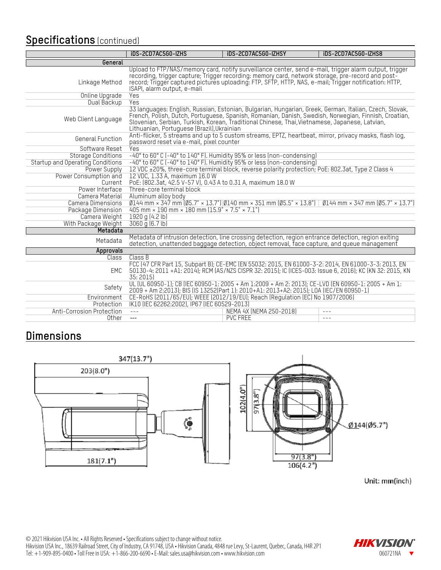### **Specifications** (continued)

|                                                                                                                   | iDS-2CD7AC5G0-IZHS                                                                                                                                                                                                                                                                                                                                             | iDS-2CD7AC5G0-IZHSY                                                                                                                                                                                                                                                                                                  | iDS-2CD7AC5G0-IZHS8 |  |  |
|-------------------------------------------------------------------------------------------------------------------|----------------------------------------------------------------------------------------------------------------------------------------------------------------------------------------------------------------------------------------------------------------------------------------------------------------------------------------------------------------|----------------------------------------------------------------------------------------------------------------------------------------------------------------------------------------------------------------------------------------------------------------------------------------------------------------------|---------------------|--|--|
| General                                                                                                           |                                                                                                                                                                                                                                                                                                                                                                |                                                                                                                                                                                                                                                                                                                      |                     |  |  |
| Linkage Method                                                                                                    | ISAPI, alarm output, e-mail                                                                                                                                                                                                                                                                                                                                    | Upload to FTP/NAS/memory card, notify surveillance center, send e-mail, trigger alarm output, trigger<br>recording, trigger capture, Trigger recording: memory card, network storage, pre-record and post-<br>record, Trigger captured pictures uploading: FTP, SFTP, HTTP, NAS, e-mail, Trigger notification: HTTP, |                     |  |  |
| Online Upgrade                                                                                                    | Yes                                                                                                                                                                                                                                                                                                                                                            |                                                                                                                                                                                                                                                                                                                      |                     |  |  |
| Dual Backup                                                                                                       | Yes                                                                                                                                                                                                                                                                                                                                                            |                                                                                                                                                                                                                                                                                                                      |                     |  |  |
| Web Client Language                                                                                               | 33 languages: English, Russian, Estonian, Bulgarian, Hungarian, Greek, German, Italian, Czech, Slovak,<br>French, Polish, Dutch, Portuguese, Spanish, Romanian, Danish, Swedish, Norwegian, Finnish, Croatian,<br>Slovenian, Serbian, Turkish, Korean, Traditional Chinese, Thai, Vietnamese, Japanese, Latvian,<br>Lithuanian, Portuguese (Brazil), Ukrainian |                                                                                                                                                                                                                                                                                                                      |                     |  |  |
| General Function                                                                                                  | Anti-flicker, 5 streams and up to 5 custom streams, EPTZ, heartbeat, mirror, privacy masks, flash log,<br>password reset via e-mail, pixel counter                                                                                                                                                                                                             |                                                                                                                                                                                                                                                                                                                      |                     |  |  |
| Software Reset                                                                                                    | <b>Yes</b>                                                                                                                                                                                                                                                                                                                                                     |                                                                                                                                                                                                                                                                                                                      |                     |  |  |
| <b>Storage Conditions</b>                                                                                         |                                                                                                                                                                                                                                                                                                                                                                | -40° to 60° C (-40° to 140° F). Humidity 95% or less (non-condensing)                                                                                                                                                                                                                                                |                     |  |  |
|                                                                                                                   | Startup and Operating Conditions<br>-40° to 60° C (-40° to 140° F). Humidity 95% or less (non-condensing)                                                                                                                                                                                                                                                      |                                                                                                                                                                                                                                                                                                                      |                     |  |  |
| 12 VDC ±20%, three-core terminal block, reverse polarity protection; PoE: 802.3at, Type 2 Class 4<br>Power Supply |                                                                                                                                                                                                                                                                                                                                                                |                                                                                                                                                                                                                                                                                                                      |                     |  |  |
| Power Consumption and                                                                                             | 12 VDC, 1.33 A, maximum 16.0 W                                                                                                                                                                                                                                                                                                                                 |                                                                                                                                                                                                                                                                                                                      |                     |  |  |
| Current                                                                                                           | PoE: (802.3at, 42.5 V-57 V), 0.43 A to 0.31 A, maximum 18.0 W                                                                                                                                                                                                                                                                                                  |                                                                                                                                                                                                                                                                                                                      |                     |  |  |
| Power Interface                                                                                                   | Three-core terminal block                                                                                                                                                                                                                                                                                                                                      |                                                                                                                                                                                                                                                                                                                      |                     |  |  |
| Camera Material                                                                                                   | Aluminum alloy body                                                                                                                                                                                                                                                                                                                                            |                                                                                                                                                                                                                                                                                                                      |                     |  |  |
| Camera Dimensions                                                                                                 | $\emptyset$ 144 mm × 347 mm ( $\emptyset$ 5.7" × 13.7")  $\emptyset$ 140 mm × 351 mm ( $\emptyset$ 5.5" × 13.8")  $\emptyset$ 144 mm × 347 mm ( $\emptyset$ 5.7" × 13.7")                                                                                                                                                                                      |                                                                                                                                                                                                                                                                                                                      |                     |  |  |
| Package Dimension                                                                                                 | 405 mm $\times$ 190 mm $\times$ 180 mm (15.9" $\times$ 7.5" $\times$ 7.1")                                                                                                                                                                                                                                                                                     |                                                                                                                                                                                                                                                                                                                      |                     |  |  |
| Camera Weight                                                                                                     | 1920 g (4.2 lb)                                                                                                                                                                                                                                                                                                                                                |                                                                                                                                                                                                                                                                                                                      |                     |  |  |
| With Package Weight                                                                                               | 3060 g (6.7 lb)                                                                                                                                                                                                                                                                                                                                                |                                                                                                                                                                                                                                                                                                                      |                     |  |  |
| Metadata                                                                                                          |                                                                                                                                                                                                                                                                                                                                                                |                                                                                                                                                                                                                                                                                                                      |                     |  |  |
| Metadata                                                                                                          |                                                                                                                                                                                                                                                                                                                                                                | Metadata of intrusion detection, line crossing detection, region entrance detection, region exiting<br>detection, unattended baggage detection, object removal, face capture, and queue management                                                                                                                   |                     |  |  |
| Approvals                                                                                                         |                                                                                                                                                                                                                                                                                                                                                                |                                                                                                                                                                                                                                                                                                                      |                     |  |  |
| <b>Class</b>                                                                                                      | Class B                                                                                                                                                                                                                                                                                                                                                        |                                                                                                                                                                                                                                                                                                                      |                     |  |  |
| EMC                                                                                                               | 35:2015                                                                                                                                                                                                                                                                                                                                                        | FCC (47 CFR Part 15, Subpart B); CE-EMC (EN 55032: 2015, EN 61000-3-2: 2014, EN 61000-3-3: 2013, EN<br>50130-4: 2011 +A1: 2014); RCM (AS/NZS CISPR 32: 2015); IC (ICES-003: Issue 6, 2016); KC (KN 32: 2015, KN                                                                                                      |                     |  |  |
| Safety                                                                                                            |                                                                                                                                                                                                                                                                                                                                                                | UL (UL 60950-1); CB (IEC 60950-1: 2005 + Am 1:2009 + Am 2: 2013); CE-LVD (EN 60950-1: 2005 + Am 1:<br>2009 + Am 2:2013); BIS (IS 13252(Part 1): 2010+A1: 2013+A2: 2015); LOA (IEC/EN 60950-1)                                                                                                                        |                     |  |  |
| Environment                                                                                                       | CE-RoHS (2011/65/EU); WEEE (2012/19/EU); Reach (Regulation (EC) No 1907/2006)                                                                                                                                                                                                                                                                                  |                                                                                                                                                                                                                                                                                                                      |                     |  |  |
| Protection                                                                                                        | IK10 (IEC 62262:2002), IP67 (IEC 60529-2013)                                                                                                                                                                                                                                                                                                                   |                                                                                                                                                                                                                                                                                                                      |                     |  |  |
| Anti-Corrosion Protection                                                                                         | $- - -$                                                                                                                                                                                                                                                                                                                                                        | NEMA 4X (NEMA 250-2018)                                                                                                                                                                                                                                                                                              |                     |  |  |
| Other                                                                                                             | $---$                                                                                                                                                                                                                                                                                                                                                          | <b>PVC FREE</b>                                                                                                                                                                                                                                                                                                      | $- - -$             |  |  |

### **Dimensions**





Unit: mm(inch)